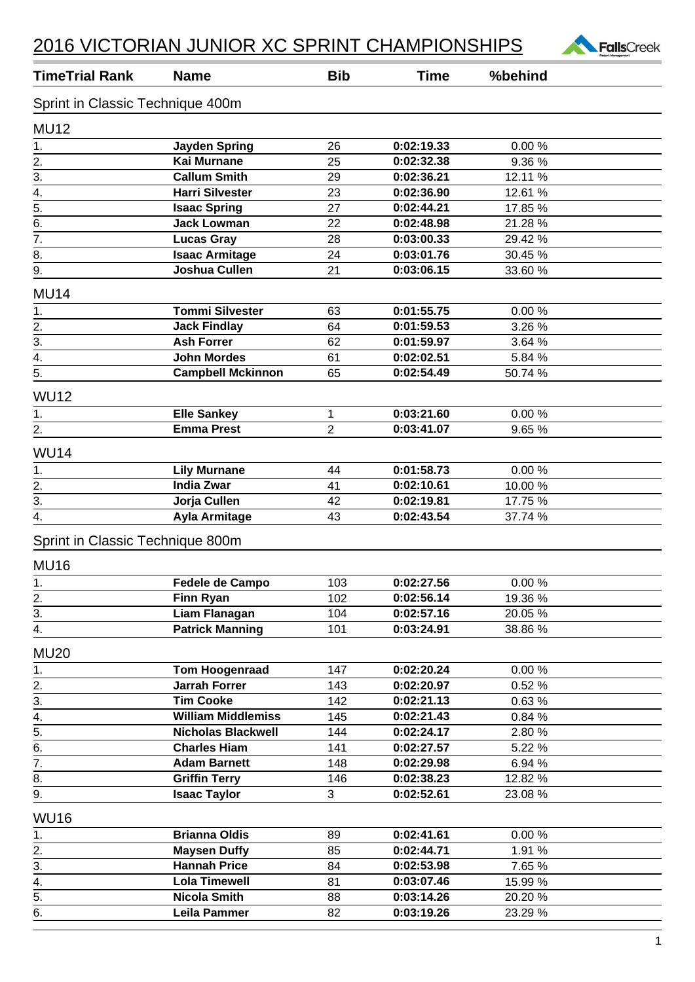

| <b>TimeTrial Rank</b>              | <b>Name</b>                              | <b>Bib</b>     | <b>Time</b>              | %behind          |  |
|------------------------------------|------------------------------------------|----------------|--------------------------|------------------|--|
| Sprint in Classic Technique 400m   |                                          |                |                          |                  |  |
| <b>MU12</b>                        |                                          |                |                          |                  |  |
| 1.                                 | <b>Jayden Spring</b>                     | 26             | 0:02:19.33               | 0.00%            |  |
| 2.                                 | <b>Kai Murnane</b>                       | 25             | 0:02:32.38               | 9.36 %           |  |
| $\overline{3}$ .                   | <b>Callum Smith</b>                      | 29             | 0:02:36.21               | 12.11 %          |  |
| 4.                                 | <b>Harri Silvester</b>                   | 23             | 0:02:36.90               | 12.61 %          |  |
| $\overline{5}$ .                   | <b>Isaac Spring</b>                      | 27             | 0:02:44.21               | 17.85 %          |  |
| $\overline{6}$ .                   | <b>Jack Lowman</b>                       | 22             | 0:02:48.98               | 21.28 %          |  |
| $\overline{7}$ .                   | <b>Lucas Gray</b>                        | 28             | 0:03:00.33               | 29.42 %          |  |
| 8.                                 | <b>Isaac Armitage</b>                    | 24             | 0:03:01.76               | 30.45 %          |  |
| 9.                                 | Joshua Cullen                            | 21             | 0:03:06.15               | 33.60 %          |  |
| <b>MU14</b>                        |                                          |                |                          |                  |  |
| 1.                                 | <b>Tommi Silvester</b>                   | 63             | 0:01:55.75               | 0.00%            |  |
| 2.                                 | <b>Jack Findlay</b>                      | 64             | 0:01:59.53               | 3.26 %           |  |
| 3.                                 | <b>Ash Forrer</b>                        | 62             | 0:01:59.97               | 3.64 %           |  |
| $\overline{4}$ .                   | <b>John Mordes</b>                       | 61             | 0:02:02.51               | 5.84 %           |  |
| $\overline{5}$ .                   | <b>Campbell Mckinnon</b>                 | 65             | 0:02:54.49               | 50.74 %          |  |
| <b>WU12</b>                        |                                          |                |                          |                  |  |
| 1.                                 | <b>Elle Sankey</b>                       | 1              | 0:03:21.60               | 0.00%            |  |
| 2.                                 | <b>Emma Prest</b>                        | $\overline{2}$ | 0:03:41.07               | 9.65 %           |  |
| <b>WU14</b>                        |                                          |                |                          |                  |  |
| 1.                                 | <b>Lily Murnane</b>                      | 44             | 0:01:58.73               | 0.00%            |  |
| $\overline{2}$ .                   | <b>India Zwar</b>                        | 41             | 0:02:10.61               | 10.00 %          |  |
| 3.                                 | Jorja Cullen                             | 42             | 0:02:19.81               | 17.75 %          |  |
| 4.                                 | <b>Ayla Armitage</b>                     | 43             | 0:02:43.54               | 37.74 %          |  |
| Sprint in Classic Technique 800m   |                                          |                |                          |                  |  |
| <b>MU16</b>                        |                                          |                |                          |                  |  |
|                                    |                                          |                |                          |                  |  |
| 1.                                 | Fedele de Campo<br>Finn Ryan             | 103<br>102     | 0:02:27.56<br>0:02:56.14 | 0.00%<br>19.36 % |  |
| 2.<br>3.                           | <b>Liam Flanagan</b>                     | 104            | 0:02:57.16               | 20.05 %          |  |
| 4.                                 | <b>Patrick Manning</b>                   | 101            | 0:03:24.91               | 38.86 %          |  |
|                                    |                                          |                |                          |                  |  |
| <b>MU20</b>                        |                                          |                |                          |                  |  |
| 1.                                 | <b>Tom Hoogenraad</b>                    | 147            | 0:02:20.24               | 0.00%            |  |
| 2.<br>$\overline{3}$ .             | <b>Jarrah Forrer</b><br><b>Tim Cooke</b> | 143            | 0:02:20.97               | 0.52 %           |  |
| 4.                                 | <b>William Middlemiss</b>                | 142            | 0:02:21.13<br>0:02:21.43 | 0.63%            |  |
| 5.                                 | <b>Nicholas Blackwell</b>                | 145<br>144     | 0:02:24.17               | 0.84 %<br>2.80%  |  |
| 6.                                 | <b>Charles Hiam</b>                      | 141            | 0:02:27.57               | 5.22 %           |  |
| $\overline{7}$ .                   | <b>Adam Barnett</b>                      | 148            | 0:02:29.98               | 6.94 %           |  |
| 8.                                 | <b>Griffin Terry</b>                     | 146            | 0:02:38.23               | 12.82 %          |  |
| 9.                                 | <b>Isaac Taylor</b>                      | 3 <sup>1</sup> | 0:02:52.61               | 23.08 %          |  |
|                                    |                                          |                |                          |                  |  |
| <b>WU16</b>                        |                                          |                |                          |                  |  |
| 1.                                 | <b>Brianna Oldis</b>                     | 89             | 0:02:41.61               | 0.00%            |  |
| 2.                                 | <b>Maysen Duffy</b>                      | 85             | 0:02:44.71               | 1.91 %           |  |
| 3.                                 | <b>Hannah Price</b>                      | 84             | 0:02:53.98               | 7.65 %           |  |
| 4.                                 | <b>Lola Timewell</b>                     | 81             | 0:03:07.46               | 15.99 %          |  |
| $\overline{5}$ .<br>$\overline{6}$ | <b>Nicola Smith</b>                      | 88             | 0:03:14.26               | 20.20 %          |  |
|                                    | Leila Pammer                             | 82             | 0:03:19.26               | 23.29 %          |  |